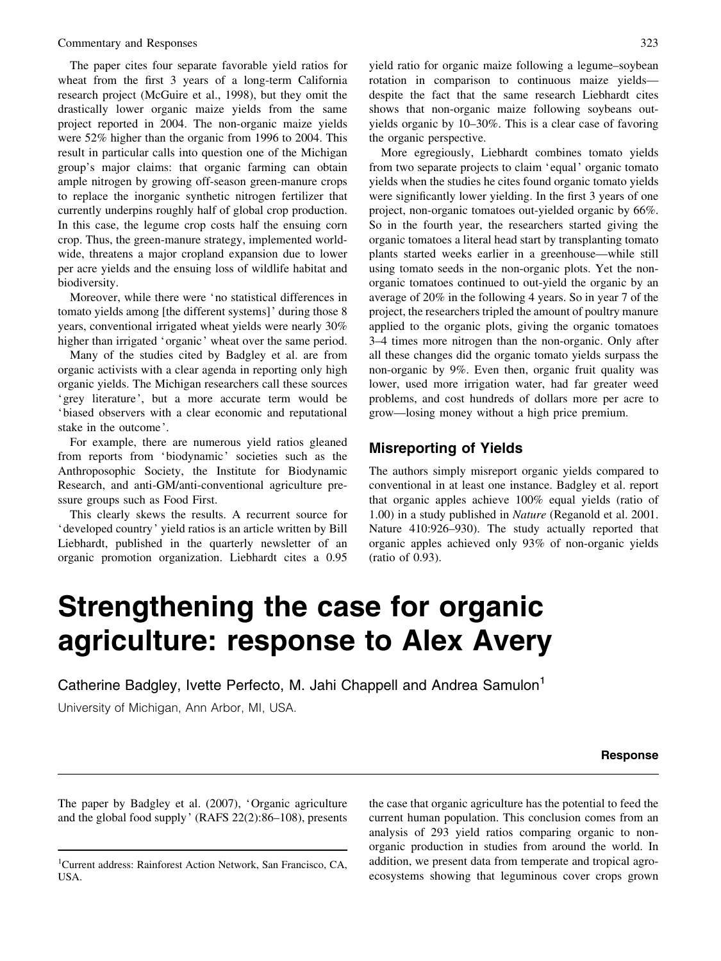The paper cites four separate favorable yield ratios for wheat from the first 3 years of a long-term California research project (McGuire et al., 1998), but they omit the drastically lower organic maize yields from the same project reported in 2004. The non-organic maize yields were 52% higher than the organic from 1996 to 2004. This result in particular calls into question one of the Michigan group's major claims: that organic farming can obtain ample nitrogen by growing off-season green-manure crops to replace the inorganic synthetic nitrogen fertilizer that currently underpins roughly half of global crop production. In this case, the legume crop costs half the ensuing corn crop. Thus, the green-manure strategy, implemented worldwide, threatens a major cropland expansion due to lower per acre yields and the ensuing loss of wildlife habitat and biodiversity.

Moreover, while there were 'no statistical differences in tomato yields among [the different systems] ' during those 8 years, conventional irrigated wheat yields were nearly 30% higher than irrigated 'organic' wheat over the same period.

Many of the studies cited by Badgley et al. are from organic activists with a clear agenda in reporting only high organic yields. The Michigan researchers call these sources 'grey literature ', but a more accurate term would be 'biased observers with a clear economic and reputational stake in the outcome '.

For example, there are numerous yield ratios gleaned from reports from 'biodynamic' societies such as the Anthroposophic Society, the Institute for Biodynamic Research, and anti-GM/anti-conventional agriculture pressure groups such as Food First.

This clearly skews the results. A recurrent source for 'developed country ' yield ratios is an article written by Bill Liebhardt, published in the quarterly newsletter of an organic promotion organization. Liebhardt cites a 0.95 yield ratio for organic maize following a legume–soybean rotation in comparison to continuous maize yields despite the fact that the same research Liebhardt cites shows that non-organic maize following soybeans outyields organic by 10–30%. This is a clear case of favoring the organic perspective.

More egregiously, Liebhardt combines tomato yields from two separate projects to claim 'equal' organic tomato yields when the studies he cites found organic tomato yields were significantly lower yielding. In the first 3 years of one project, non-organic tomatoes out-yielded organic by 66%. So in the fourth year, the researchers started giving the organic tomatoes a literal head start by transplanting tomato plants started weeks earlier in a greenhouse—while still using tomato seeds in the non-organic plots. Yet the nonorganic tomatoes continued to out-yield the organic by an average of 20% in the following 4 years. So in year 7 of the project, the researchers tripled the amount of poultry manure applied to the organic plots, giving the organic tomatoes 3–4 times more nitrogen than the non-organic. Only after all these changes did the organic tomato yields surpass the non-organic by 9%. Even then, organic fruit quality was lower, used more irrigation water, had far greater weed problems, and cost hundreds of dollars more per acre to grow—losing money without a high price premium.

# Misreporting of Yields

The authors simply misreport organic yields compared to conventional in at least one instance. Badgley et al. report that organic apples achieve 100% equal yields (ratio of 1.00) in a study published in Nature (Reganold et al. 2001. Nature 410:926–930). The study actually reported that organic apples achieved only 93% of non-organic yields (ratio of 0.93).

# Strengthening the case for organic agriculture: response to Alex Avery

Catherine Badgley, Ivette Perfecto, M. Jahi Chappell and Andrea Samulon' University of Michigan, Ann Arbor, MI, USA.

#### Response

The paper by Badgley et al. (2007), 'Organic agriculture and the global food supply ' (RAFS 22(2):86–108), presents the case that organic agriculture has the potential to feed the current human population. This conclusion comes from an analysis of 293 yield ratios comparing organic to nonorganic production in studies from around the world. In addition, we present data from temperate and tropical agroecosystems showing that leguminous cover crops grown

<sup>1</sup> Current address: Rainforest Action Network, San Francisco, CA, USA.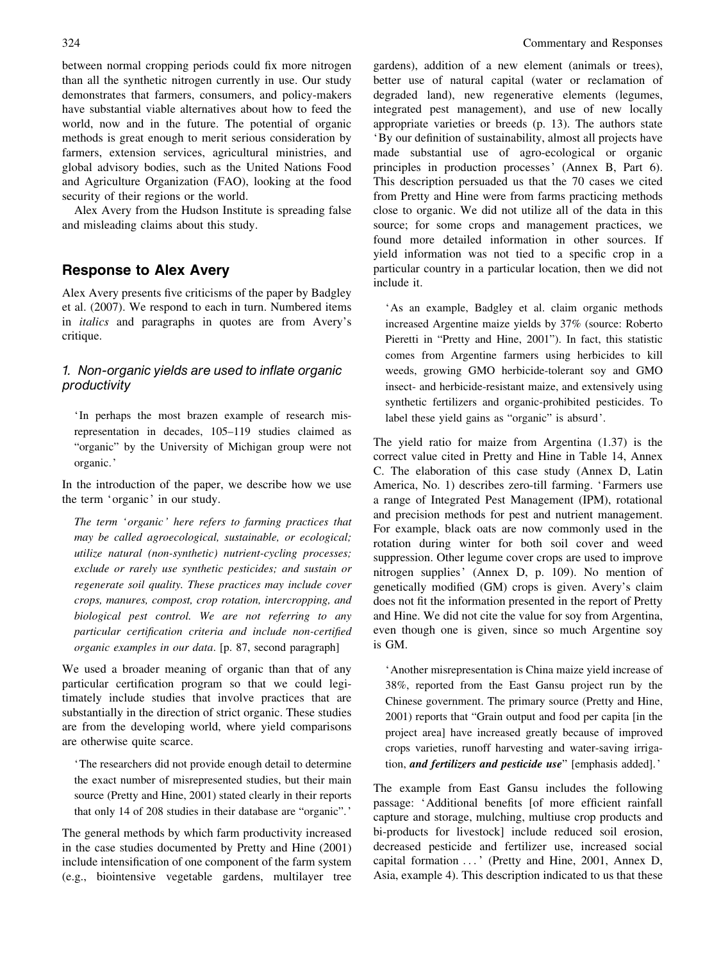between normal cropping periods could fix more nitrogen than all the synthetic nitrogen currently in use. Our study demonstrates that farmers, consumers, and policy-makers have substantial viable alternatives about how to feed the world, now and in the future. The potential of organic methods is great enough to merit serious consideration by farmers, extension services, agricultural ministries, and global advisory bodies, such as the United Nations Food and Agriculture Organization (FAO), looking at the food security of their regions or the world.

Alex Avery from the Hudson Institute is spreading false and misleading claims about this study.

# Response to Alex Avery

Alex Avery presents five criticisms of the paper by Badgley et al. (2007). We respond to each in turn. Numbered items in italics and paragraphs in quotes are from Avery's critique.

### 1. Non-organic yields are used to inflate organic productivity

' In perhaps the most brazen example of research misrepresentation in decades, 105–119 studies claimed as "organic" by the University of Michigan group were not organic. '

In the introduction of the paper, we describe how we use the term 'organic' in our study.

The term 'organic' here refers to farming practices that may be called agroecological, sustainable, or ecological; utilize natural (non-synthetic) nutrient-cycling processes; exclude or rarely use synthetic pesticides; and sustain or regenerate soil quality. These practices may include cover crops, manures, compost, crop rotation, intercropping, and biological pest control. We are not referring to any particular certification criteria and include non-certified organic examples in our data. [p. 87, second paragraph]

We used a broader meaning of organic than that of any particular certification program so that we could legitimately include studies that involve practices that are substantially in the direction of strict organic. These studies are from the developing world, where yield comparisons are otherwise quite scarce.

'The researchers did not provide enough detail to determine the exact number of misrepresented studies, but their main source (Pretty and Hine, 2001) stated clearly in their reports that only 14 of 208 studies in their database are "organic". '

The general methods by which farm productivity increased in the case studies documented by Pretty and Hine (2001) include intensification of one component of the farm system (e.g., biointensive vegetable gardens, multilayer tree

gardens), addition of a new element (animals or trees), better use of natural capital (water or reclamation of degraded land), new regenerative elements (legumes, integrated pest management), and use of new locally appropriate varieties or breeds (p. 13). The authors state 'By our definition of sustainability, almost all projects have made substantial use of agro-ecological or organic principles in production processes' (Annex B, Part 6). This description persuaded us that the 70 cases we cited from Pretty and Hine were from farms practicing methods close to organic. We did not utilize all of the data in this source; for some crops and management practices, we found more detailed information in other sources. If yield information was not tied to a specific crop in a particular country in a particular location, then we did not include it.

'As an example, Badgley et al. claim organic methods increased Argentine maize yields by 37% (source: Roberto Pieretti in "Pretty and Hine, 2001"). In fact, this statistic comes from Argentine farmers using herbicides to kill weeds, growing GMO herbicide-tolerant soy and GMO insect- and herbicide-resistant maize, and extensively using synthetic fertilizers and organic-prohibited pesticides. To label these yield gains as "organic" is absurd '.

The yield ratio for maize from Argentina (1.37) is the correct value cited in Pretty and Hine in Table 14, Annex C. The elaboration of this case study (Annex D, Latin America, No. 1) describes zero-till farming. 'Farmers use a range of Integrated Pest Management (IPM), rotational and precision methods for pest and nutrient management. For example, black oats are now commonly used in the rotation during winter for both soil cover and weed suppression. Other legume cover crops are used to improve nitrogen supplies' (Annex D, p. 109). No mention of genetically modified (GM) crops is given. Avery's claim does not fit the information presented in the report of Pretty and Hine. We did not cite the value for soy from Argentina, even though one is given, since so much Argentine soy is GM.

'Another misrepresentation is China maize yield increase of 38%, reported from the East Gansu project run by the Chinese government. The primary source (Pretty and Hine, 2001) reports that "Grain output and food per capita [in the project area] have increased greatly because of improved crops varieties, runoff harvesting and water-saving irrigation, and fertilizers and pesticide use" [emphasis added]. '

The example from East Gansu includes the following passage: 'Additional benefits [of more efficient rainfall capture and storage, mulching, multiuse crop products and bi-products for livestock] include reduced soil erosion, decreased pesticide and fertilizer use, increased social capital formation ... ' (Pretty and Hine, 2001, Annex D, Asia, example 4). This description indicated to us that these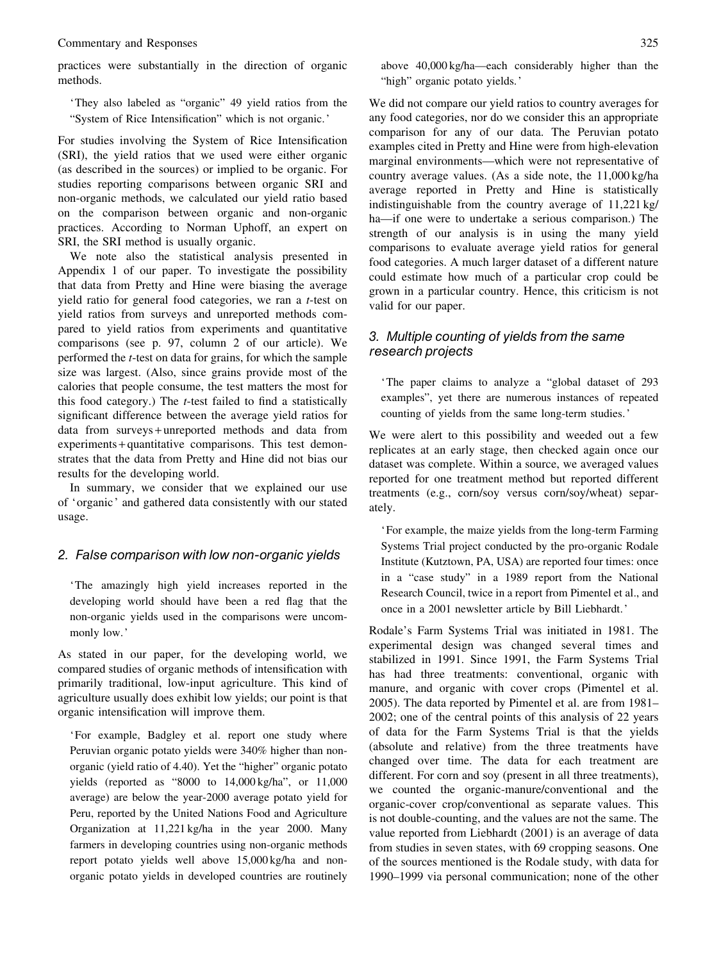practices were substantially in the direction of organic methods.

'They also labeled as "organic" 49 yield ratios from the "System of Rice Intensification" which is not organic. '

For studies involving the System of Rice Intensification (SRI), the yield ratios that we used were either organic (as described in the sources) or implied to be organic. For studies reporting comparisons between organic SRI and non-organic methods, we calculated our yield ratio based on the comparison between organic and non-organic practices. According to Norman Uphoff, an expert on SRI, the SRI method is usually organic.

We note also the statistical analysis presented in Appendix 1 of our paper. To investigate the possibility that data from Pretty and Hine were biasing the average yield ratio for general food categories, we ran a t-test on yield ratios from surveys and unreported methods compared to yield ratios from experiments and quantitative comparisons (see p. 97, column 2 of our article). We performed the t-test on data for grains, for which the sample size was largest. (Also, since grains provide most of the calories that people consume, the test matters the most for this food category.) The t-test failed to find a statistically significant difference between the average yield ratios for data from surveys + unreported methods and data from experiments + quantitative comparisons. This test demonstrates that the data from Pretty and Hine did not bias our results for the developing world.

In summary, we consider that we explained our use of 'organic ' and gathered data consistently with our stated usage.

#### 2. False comparison with low non-organic yields

'The amazingly high yield increases reported in the developing world should have been a red flag that the non-organic yields used in the comparisons were uncommonly low. '

As stated in our paper, for the developing world, we compared studies of organic methods of intensification with primarily traditional, low-input agriculture. This kind of agriculture usually does exhibit low yields; our point is that organic intensification will improve them.

'For example, Badgley et al. report one study where Peruvian organic potato yields were 340% higher than nonorganic (yield ratio of 4.40). Yet the "higher" organic potato yields (reported as "8000 to 14,000 kg/ha", or 11,000 average) are below the year-2000 average potato yield for Peru, reported by the United Nations Food and Agriculture Organization at 11,221 kg/ha in the year 2000. Many farmers in developing countries using non-organic methods report potato yields well above 15,000 kg/ha and nonorganic potato yields in developed countries are routinely above 40,000 kg/ha—each considerably higher than the "high" organic potato yields. '

We did not compare our yield ratios to country averages for any food categories, nor do we consider this an appropriate comparison for any of our data. The Peruvian potato examples cited in Pretty and Hine were from high-elevation marginal environments—which were not representative of country average values. (As a side note, the 11,000 kg/ha average reported in Pretty and Hine is statistically indistinguishable from the country average of 11,221 kg/ ha—if one were to undertake a serious comparison.) The strength of our analysis is in using the many yield comparisons to evaluate average yield ratios for general food categories. A much larger dataset of a different nature could estimate how much of a particular crop could be grown in a particular country. Hence, this criticism is not valid for our paper.

### 3. Multiple counting of yields from the same research projects

'The paper claims to analyze a "global dataset of 293 examples", yet there are numerous instances of repeated counting of yields from the same long-term studies. '

We were alert to this possibility and weeded out a few replicates at an early stage, then checked again once our dataset was complete. Within a source, we averaged values reported for one treatment method but reported different treatments (e.g., corn/soy versus corn/soy/wheat) separately.

'For example, the maize yields from the long-term Farming Systems Trial project conducted by the pro-organic Rodale Institute (Kutztown, PA, USA) are reported four times: once in a "case study" in a 1989 report from the National Research Council, twice in a report from Pimentel et al., and once in a 2001 newsletter article by Bill Liebhardt. '

Rodale's Farm Systems Trial was initiated in 1981. The experimental design was changed several times and stabilized in 1991. Since 1991, the Farm Systems Trial has had three treatments: conventional, organic with manure, and organic with cover crops (Pimentel et al. 2005). The data reported by Pimentel et al. are from 1981– 2002; one of the central points of this analysis of 22 years of data for the Farm Systems Trial is that the yields (absolute and relative) from the three treatments have changed over time. The data for each treatment are different. For corn and soy (present in all three treatments), we counted the organic-manure/conventional and the organic-cover crop/conventional as separate values. This is not double-counting, and the values are not the same. The value reported from Liebhardt (2001) is an average of data from studies in seven states, with 69 cropping seasons. One of the sources mentioned is the Rodale study, with data for 1990–1999 via personal communication; none of the other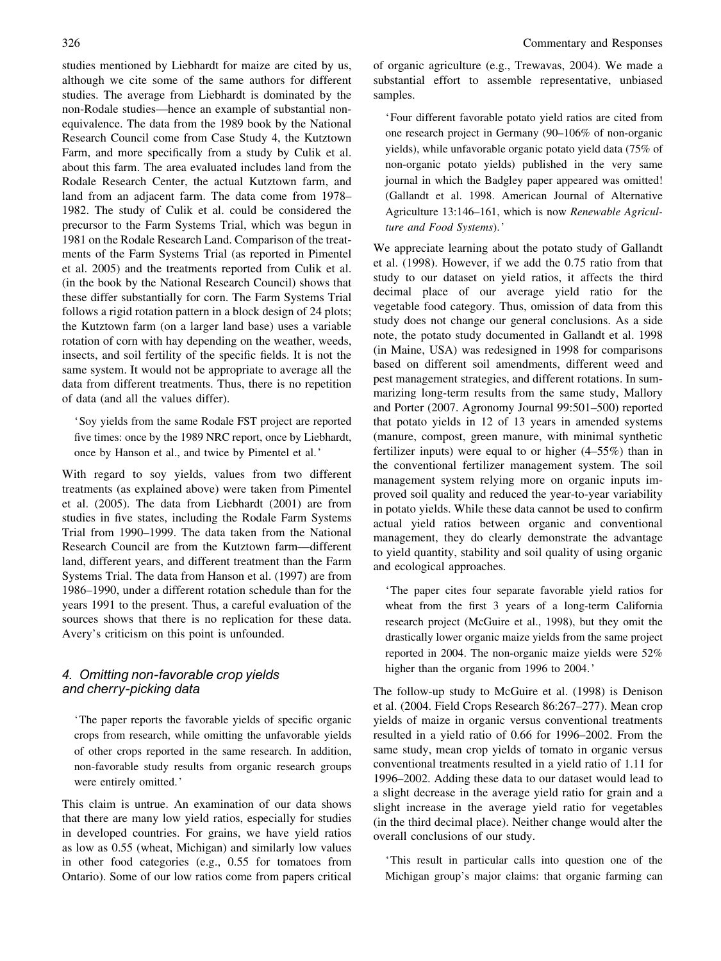studies mentioned by Liebhardt for maize are cited by us, although we cite some of the same authors for different studies. The average from Liebhardt is dominated by the non-Rodale studies—hence an example of substantial nonequivalence. The data from the 1989 book by the National Research Council come from Case Study 4, the Kutztown Farm, and more specifically from a study by Culik et al. about this farm. The area evaluated includes land from the Rodale Research Center, the actual Kutztown farm, and land from an adjacent farm. The data come from 1978– 1982. The study of Culik et al. could be considered the precursor to the Farm Systems Trial, which was begun in 1981 on the Rodale Research Land. Comparison of the treatments of the Farm Systems Trial (as reported in Pimentel et al. 2005) and the treatments reported from Culik et al. (in the book by the National Research Council) shows that these differ substantially for corn. The Farm Systems Trial follows a rigid rotation pattern in a block design of 24 plots; the Kutztown farm (on a larger land base) uses a variable rotation of corn with hay depending on the weather, weeds, insects, and soil fertility of the specific fields. It is not the same system. It would not be appropriate to average all the data from different treatments. Thus, there is no repetition of data (and all the values differ).

'Soy yields from the same Rodale FST project are reported five times: once by the 1989 NRC report, once by Liebhardt, once by Hanson et al., and twice by Pimentel et al. '

With regard to soy yields, values from two different treatments (as explained above) were taken from Pimentel et al. (2005). The data from Liebhardt (2001) are from studies in five states, including the Rodale Farm Systems Trial from 1990–1999. The data taken from the National Research Council are from the Kutztown farm—different land, different years, and different treatment than the Farm Systems Trial. The data from Hanson et al. (1997) are from 1986–1990, under a different rotation schedule than for the years 1991 to the present. Thus, a careful evaluation of the sources shows that there is no replication for these data. Avery's criticism on this point is unfounded.

# 4. Omitting non-favorable crop yields and cherry-picking data

'The paper reports the favorable yields of specific organic crops from research, while omitting the unfavorable yields of other crops reported in the same research. In addition, non-favorable study results from organic research groups were entirely omitted. '

This claim is untrue. An examination of our data shows that there are many low yield ratios, especially for studies in developed countries. For grains, we have yield ratios as low as 0.55 (wheat, Michigan) and similarly low values in other food categories (e.g., 0.55 for tomatoes from Ontario). Some of our low ratios come from papers critical of organic agriculture (e.g., Trewavas, 2004). We made a substantial effort to assemble representative, unbiased samples.

'Four different favorable potato yield ratios are cited from one research project in Germany (90–106% of non-organic yields), while unfavorable organic potato yield data (75% of non-organic potato yields) published in the very same journal in which the Badgley paper appeared was omitted! (Gallandt et al. 1998. American Journal of Alternative Agriculture 13:146–161, which is now Renewable Agriculture and Food Systems). '

We appreciate learning about the potato study of Gallandt et al. (1998). However, if we add the 0.75 ratio from that study to our dataset on yield ratios, it affects the third decimal place of our average yield ratio for the vegetable food category. Thus, omission of data from this study does not change our general conclusions. As a side note, the potato study documented in Gallandt et al. 1998 (in Maine, USA) was redesigned in 1998 for comparisons based on different soil amendments, different weed and pest management strategies, and different rotations. In summarizing long-term results from the same study, Mallory and Porter (2007. Agronomy Journal 99:501–500) reported that potato yields in 12 of 13 years in amended systems (manure, compost, green manure, with minimal synthetic fertilizer inputs) were equal to or higher (4–55%) than in the conventional fertilizer management system. The soil management system relying more on organic inputs improved soil quality and reduced the year-to-year variability in potato yields. While these data cannot be used to confirm actual yield ratios between organic and conventional management, they do clearly demonstrate the advantage to yield quantity, stability and soil quality of using organic and ecological approaches.

'The paper cites four separate favorable yield ratios for wheat from the first 3 years of a long-term California research project (McGuire et al., 1998), but they omit the drastically lower organic maize yields from the same project reported in 2004. The non-organic maize yields were 52% higher than the organic from 1996 to 2004.'

The follow-up study to McGuire et al. (1998) is Denison et al. (2004. Field Crops Research 86:267–277). Mean crop yields of maize in organic versus conventional treatments resulted in a yield ratio of 0.66 for 1996–2002. From the same study, mean crop yields of tomato in organic versus conventional treatments resulted in a yield ratio of 1.11 for 1996–2002. Adding these data to our dataset would lead to a slight decrease in the average yield ratio for grain and a slight increase in the average yield ratio for vegetables (in the third decimal place). Neither change would alter the overall conclusions of our study.

'This result in particular calls into question one of the Michigan group's major claims: that organic farming can